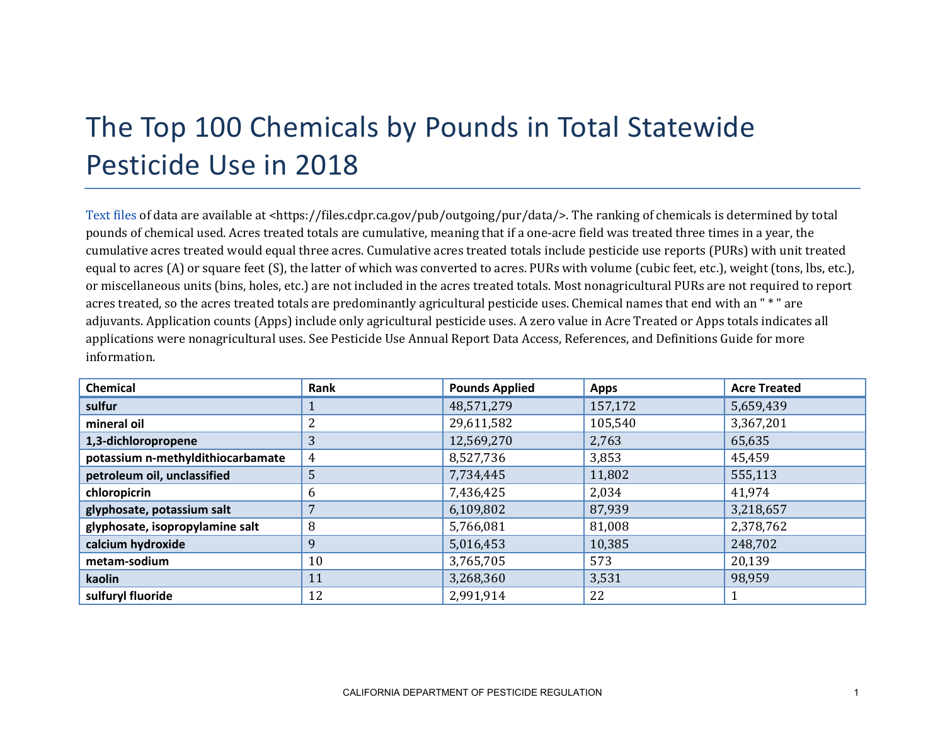## The Top 100 Chemicals by Pounds in Total Statewide Pesticide Use in 2018

[Text files](https://files.cdpr.ca.gov/pub/outgoing/pur/data/) of data are available at <https://files.cdpr.ca.gov/pub/outgoing/pur/data/>. The ranking of chemicals is determined by total pounds of chemical used. Acres treated totals are cumulative, meaning that if a one-acre field was treated three times in a year, the cumulative acres treated would equal three acres. Cumulative acres treated totals include pesticide use reports (PURs) with unit treated equal to acres (A) or square feet (S), the latter of which was converted to acres. PURs with volume (cubic feet, etc.), weight (tons, lbs, etc.), or miscellaneous units (bins, holes, etc.) are not included in the acres treated totals. Most nonagricultural PURs are not required to report acres treated, so the acres treated totals are predominantly agricultural pesticide uses. Chemical names that end with an " \* " are adjuvants. Application counts (Apps) include only agricultural pesticide uses. A zero value in Acre Treated or Apps totals indicates all applications were nonagricultural uses. See Pesticide Use Annual Report Data Access, References, and Definitions Guide for more information.

| <b>Chemical</b>                   | Rank | <b>Pounds Applied</b> | <b>Apps</b> | <b>Acre Treated</b> |
|-----------------------------------|------|-----------------------|-------------|---------------------|
| sulfur                            |      | 48,571,279            | 157,172     | 5,659,439           |
| mineral oil                       |      | 29,611,582            | 105,540     | 3,367,201           |
| 1,3-dichloropropene               | 3    | 12,569,270            | 2,763       | 65,635              |
| potassium n-methyldithiocarbamate | 4    | 8,527,736             | 3,853       | 45,459              |
| petroleum oil, unclassified       | 5    | 7,734,445             | 11,802      | 555,113             |
| chloropicrin                      | 6    | 7,436,425             | 2,034       | 41,974              |
| glyphosate, potassium salt        | 7    | 6,109,802             | 87,939      | 3,218,657           |
| glyphosate, isopropylamine salt   | 8    | 5,766,081             | 81,008      | 2,378,762           |
| calcium hydroxide                 | 9    | 5,016,453             | 10,385      | 248,702             |
| metam-sodium                      | 10   | 3,765,705             | 573         | 20,139              |
| kaolin                            | 11   | 3,268,360             | 3,531       | 98,959              |
| sulfuryl fluoride                 | 12   | 2,991,914             | 22          |                     |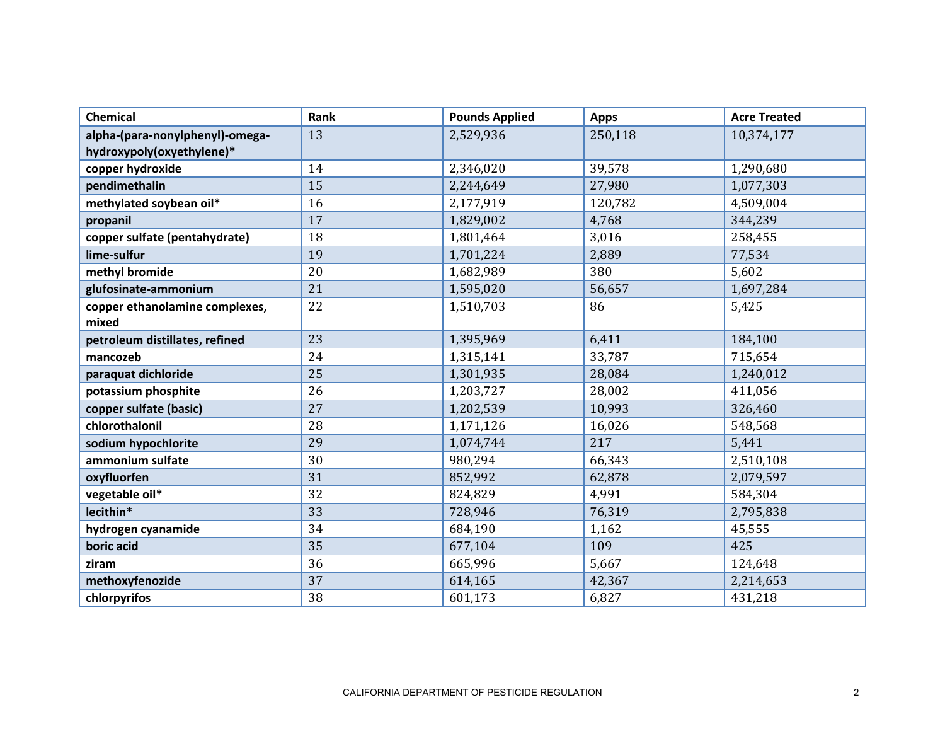| <b>Chemical</b>                 | Rank | <b>Pounds Applied</b> | <b>Apps</b> | <b>Acre Treated</b> |
|---------------------------------|------|-----------------------|-------------|---------------------|
| alpha-(para-nonylphenyl)-omega- | 13   | 2,529,936             | 250,118     | 10,374,177          |
| hydroxypoly(oxyethylene)*       |      |                       |             |                     |
| copper hydroxide                | 14   | 2,346,020             | 39,578      | 1,290,680           |
| pendimethalin                   | 15   | 2,244,649             | 27,980      | 1,077,303           |
| methylated soybean oil*         | 16   | 2,177,919             | 120,782     | 4,509,004           |
| propanil                        | 17   | 1,829,002             | 4,768       | 344,239             |
| copper sulfate (pentahydrate)   | 18   | 1,801,464             | 3,016       | 258,455             |
| lime-sulfur                     | 19   | 1,701,224             | 2,889       | 77,534              |
| methyl bromide                  | 20   | 1,682,989             | 380         | 5,602               |
| glufosinate-ammonium            | 21   | 1,595,020             | 56,657      | 1,697,284           |
| copper ethanolamine complexes,  | 22   | 1,510,703             | 86          | 5,425               |
| mixed                           |      |                       |             |                     |
| petroleum distillates, refined  | 23   | 1,395,969             | 6,411       | 184,100             |
| mancozeb                        | 24   | 1,315,141             | 33,787      | 715,654             |
| paraquat dichloride             | 25   | 1,301,935             | 28,084      | 1,240,012           |
| potassium phosphite             | 26   | 1,203,727             | 28,002      | 411,056             |
| copper sulfate (basic)          | 27   | 1,202,539             | 10,993      | 326,460             |
| chlorothalonil                  | 28   | 1,171,126             | 16,026      | 548,568             |
| sodium hypochlorite             | 29   | 1,074,744             | 217         | 5,441               |
| ammonium sulfate                | 30   | 980,294               | 66,343      | 2,510,108           |
| oxyfluorfen                     | 31   | 852,992               | 62,878      | 2,079,597           |
| vegetable oil*                  | 32   | 824,829               | 4,991       | 584,304             |
| lecithin*                       | 33   | 728,946               | 76,319      | 2,795,838           |
| hydrogen cyanamide              | 34   | 684,190               | 1,162       | 45,555              |
| boric acid                      | 35   | 677,104               | 109         | 425                 |
| ziram                           | 36   | 665,996               | 5,667       | 124,648             |
| methoxyfenozide                 | 37   | 614,165               | 42,367      | 2,214,653           |
| chlorpyrifos                    | 38   | 601,173               | 6,827       | 431,218             |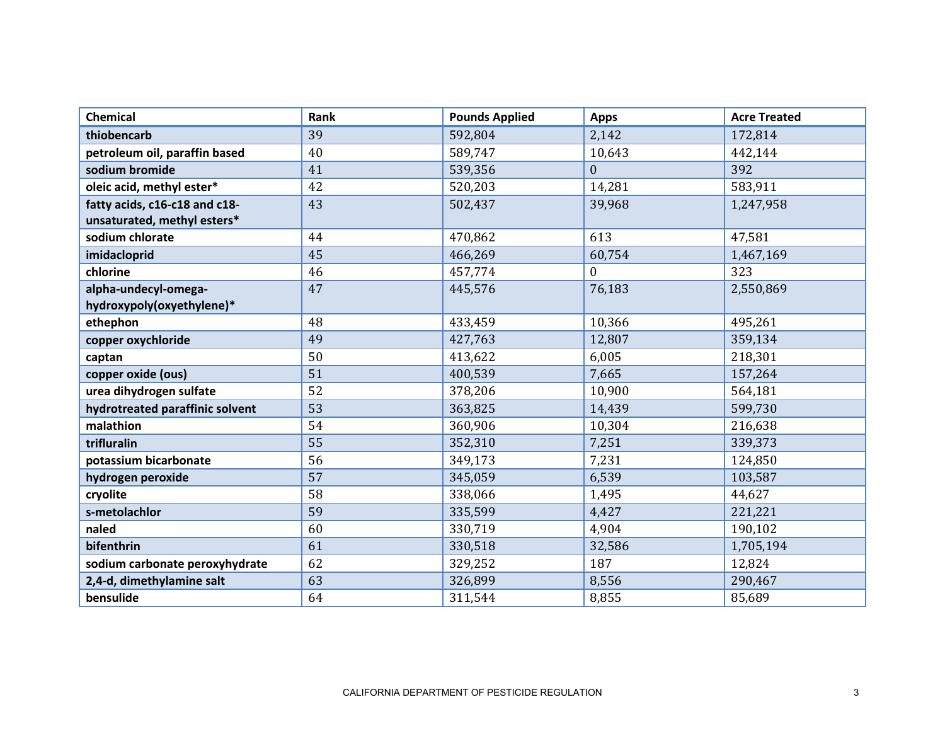| <b>Chemical</b>                 | Rank | <b>Pounds Applied</b> | <b>Apps</b> | <b>Acre Treated</b> |
|---------------------------------|------|-----------------------|-------------|---------------------|
| thiobencarb                     | 39   | 592,804               | 2,142       | 172,814             |
| petroleum oil, paraffin based   | 40   | 589,747               | 10,643      | 442,144             |
| sodium bromide                  | 41   | 539,356               | $\Omega$    | 392                 |
| oleic acid, methyl ester*       | 42   | 520,203               | 14,281      | 583,911             |
| fatty acids, c16-c18 and c18-   | 43   | 502,437               | 39,968      | 1,247,958           |
| unsaturated, methyl esters*     |      |                       |             |                     |
| sodium chlorate                 | 44   | 470,862               | 613         | 47,581              |
| imidacloprid                    | 45   | 466,269               | 60,754      | 1,467,169           |
| chlorine                        | 46   | 457,774               | $\Omega$    | 323                 |
| alpha-undecyl-omega-            | 47   | 445,576               | 76,183      | 2,550,869           |
| hydroxypoly(oxyethylene)*       |      |                       |             |                     |
| ethephon                        | 48   | 433,459               | 10,366      | 495,261             |
| copper oxychloride              | 49   | 427,763               | 12,807      | 359,134             |
| captan                          | 50   | 413,622               | 6,005       | 218,301             |
| copper oxide (ous)              | 51   | 400,539               | 7,665       | 157,264             |
| urea dihydrogen sulfate         | 52   | 378,206               | 10,900      | 564,181             |
| hydrotreated paraffinic solvent | 53   | 363,825               | 14,439      | 599,730             |
| malathion                       | 54   | 360,906               | 10,304      | 216,638             |
| trifluralin                     | 55   | 352,310               | 7,251       | 339,373             |
| potassium bicarbonate           | 56   | 349,173               | 7,231       | 124,850             |
| hydrogen peroxide               | 57   | 345,059               | 6,539       | 103,587             |
| cryolite                        | 58   | 338,066               | 1,495       | 44,627              |
| s-metolachlor                   | 59   | 335,599               | 4,427       | 221,221             |
| naled                           | 60   | 330,719               | 4,904       | 190,102             |
| bifenthrin                      | 61   | 330,518               | 32,586      | 1,705,194           |
| sodium carbonate peroxyhydrate  | 62   | 329,252               | 187         | 12,824              |
| 2,4-d, dimethylamine salt       | 63   | 326,899               | 8,556       | 290,467             |
| bensulide                       | 64   | 311,544               | 8,855       | 85,689              |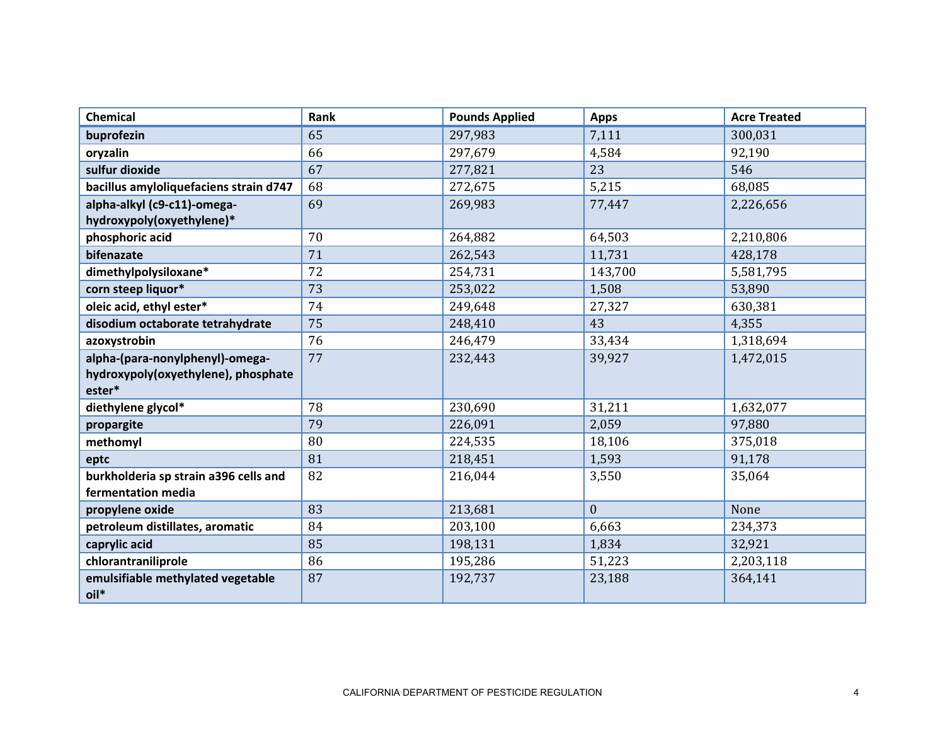| Chemical                               | Rank | <b>Pounds Applied</b> | <b>Apps</b>    | <b>Acre Treated</b> |
|----------------------------------------|------|-----------------------|----------------|---------------------|
| buprofezin                             | 65   | 297,983               | 7,111          | 300,031             |
| oryzalin                               | 66   | 297,679               | 4,584          | 92,190              |
| sulfur dioxide                         | 67   | 277,821               | 23             | 546                 |
| bacillus amyloliquefaciens strain d747 | 68   | 272,675               | 5,215          | 68,085              |
| alpha-alkyl (c9-c11)-omega-            | 69   | 269,983               | 77,447         | 2,226,656           |
| hydroxypoly(oxyethylene)*              |      |                       |                |                     |
| phosphoric acid                        | 70   | 264,882               | 64,503         | 2,210,806           |
| bifenazate                             | 71   | 262,543               | 11,731         | 428,178             |
| dimethylpolysiloxane*                  | 72   | 254,731               | 143,700        | 5,581,795           |
| corn steep liquor*                     | 73   | 253,022               | 1,508          | 53,890              |
| oleic acid, ethyl ester*               | 74   | 249,648               | 27,327         | 630,381             |
| disodium octaborate tetrahydrate       | 75   | 248,410               | 43             | 4,355               |
| azoxystrobin                           | 76   | 246,479               | 33,434         | 1,318,694           |
| alpha-(para-nonylphenyl)-omega-        | 77   | 232,443               | 39,927         | 1,472,015           |
| hydroxypoly(oxyethylene), phosphate    |      |                       |                |                     |
| ester*                                 |      |                       |                |                     |
| diethylene glycol*                     | 78   | 230,690               | 31,211         | 1,632,077           |
| propargite                             | 79   | 226,091               | 2,059          | 97,880              |
| methomyl                               | 80   | 224,535               | 18,106         | 375,018             |
| eptc                                   | 81   | 218,451               | 1,593          | 91,178              |
| burkholderia sp strain a396 cells and  | 82   | 216,044               | 3,550          | 35,064              |
| fermentation media                     |      |                       |                |                     |
| propylene oxide                        | 83   | 213,681               | $\overline{0}$ | None                |
| petroleum distillates, aromatic        | 84   | 203,100               | 6,663          | 234,373             |
| caprylic acid                          | 85   | 198,131               | 1,834          | 32,921              |
| chlorantraniliprole                    | 86   | 195,286               | 51,223         | 2,203,118           |
| emulsifiable methylated vegetable      | 87   | 192,737               | 23,188         | 364,141             |
| oil*                                   |      |                       |                |                     |